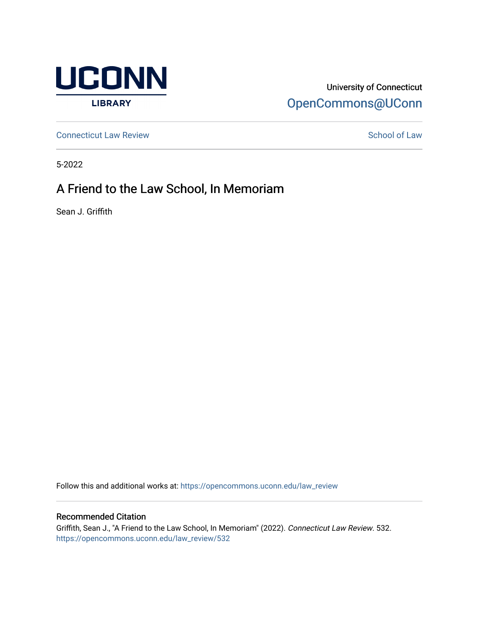

# University of Connecticut [OpenCommons@UConn](https://opencommons.uconn.edu/)

**[Connecticut Law Review](https://opencommons.uconn.edu/law_review) [School of Law](https://opencommons.uconn.edu/sol) Review School of Law School of Law School of Law School of Law School of Law School of Law School of Law School of Law School of Law School of Law School of Law School of Law School of** 

5-2022

# A Friend to the Law School, In Memoriam

Sean J. Griffith

Follow this and additional works at: [https://opencommons.uconn.edu/law\\_review](https://opencommons.uconn.edu/law_review?utm_source=opencommons.uconn.edu%2Flaw_review%2F532&utm_medium=PDF&utm_campaign=PDFCoverPages)

#### Recommended Citation

Griffith, Sean J., "A Friend to the Law School, In Memoriam" (2022). Connecticut Law Review. 532. [https://opencommons.uconn.edu/law\\_review/532](https://opencommons.uconn.edu/law_review/532?utm_source=opencommons.uconn.edu%2Flaw_review%2F532&utm_medium=PDF&utm_campaign=PDFCoverPages)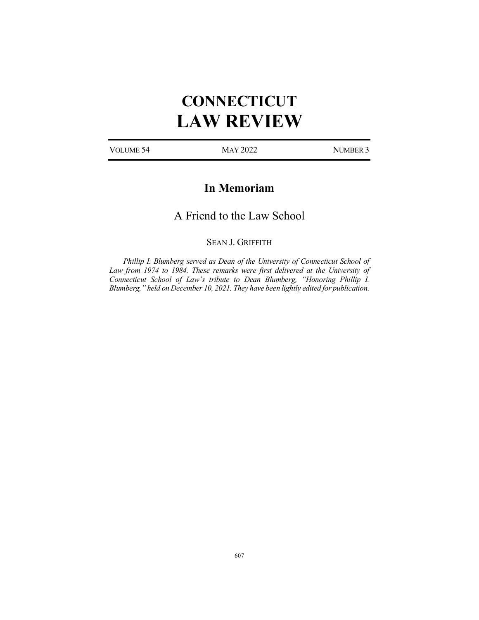# **CONNECTICUT LAW REVIEW**

VOLUME 54 MAY 2022 NUMBER 3

#### **In Memoriam**

### A Friend to the Law School

SEAN J. GRIFFITH

*Phillip I. Blumberg served as Dean of the University of Connecticut School of*  Law from 1974 to 1984. These remarks were first delivered at the University of *Connecticut School of Law's tribute to Dean Blumberg, "Honoring Phillip I. Blumberg," held on December 10, 2021. They have been lightly edited for publication.*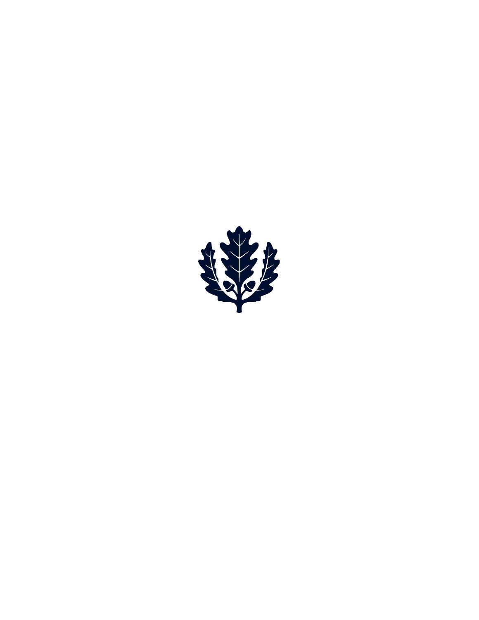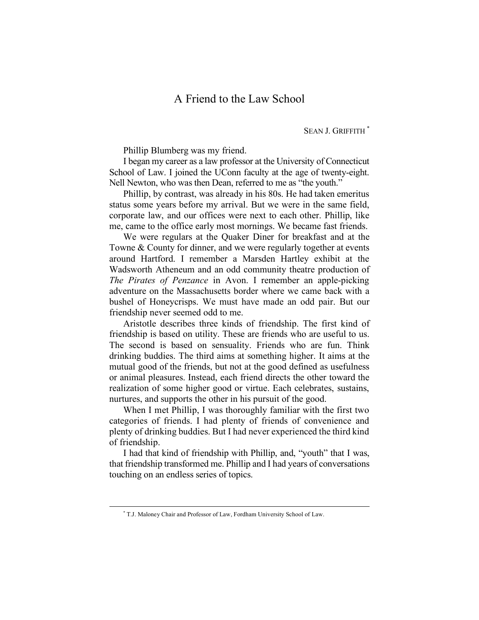### A Friend to the Law School

SEAN J. GRIFFITH \*

Phillip Blumberg was my friend.

I began my career as a law professor at the University of Connecticut School of Law. I joined the UConn faculty at the age of twenty-eight. Nell Newton, who was then Dean, referred to me as "the youth."

Phillip, by contrast, was already in his 80s. He had taken emeritus status some years before my arrival. But we were in the same field, corporate law, and our offices were next to each other. Phillip, like me, came to the office early most mornings. We became fast friends.

We were regulars at the Quaker Diner for breakfast and at the Towne & County for dinner, and we were regularly together at events around Hartford. I remember a Marsden Hartley exhibit at the Wadsworth Atheneum and an odd community theatre production of *The Pirates of Penzance* in Avon. I remember an apple-picking adventure on the Massachusetts border where we came back with a bushel of Honeycrisps. We must have made an odd pair. But our friendship never seemed odd to me.

Aristotle describes three kinds of friendship. The first kind of friendship is based on utility. These are friends who are useful to us. The second is based on sensuality. Friends who are fun. Think drinking buddies. The third aims at something higher. It aims at the mutual good of the friends, but not at the good defined as usefulness or animal pleasures. Instead, each friend directs the other toward the realization of some higher good or virtue. Each celebrates, sustains, nurtures, and supports the other in his pursuit of the good.

When I met Phillip, I was thoroughly familiar with the first two categories of friends. I had plenty of friends of convenience and plenty of drinking buddies. But I had never experienced the third kind of friendship.

I had that kind of friendship with Phillip, and, "youth" that I was, that friendship transformed me. Phillip and I had years of conversations touching on an endless series of topics.

 <sup>\*</sup> T.J. Maloney Chair and Professor of Law, Fordham University School of Law.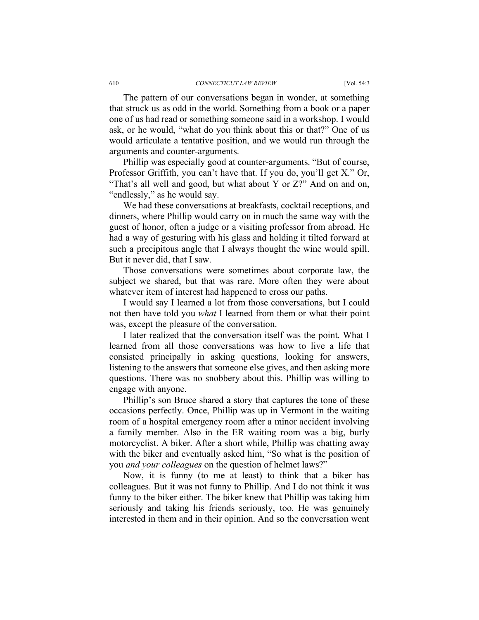The pattern of our conversations began in wonder, at something that struck us as odd in the world. Something from a book or a paper one of us had read or something someone said in a workshop. I would ask, or he would, "what do you think about this or that?" One of us would articulate a tentative position, and we would run through the arguments and counter-arguments.

Phillip was especially good at counter-arguments. "But of course, Professor Griffith, you can't have that. If you do, you'll get X." Or, "That's all well and good, but what about Y or Z?" And on and on, "endlessly," as he would say.

We had these conversations at breakfasts, cocktail receptions, and dinners, where Phillip would carry on in much the same way with the guest of honor, often a judge or a visiting professor from abroad. He had a way of gesturing with his glass and holding it tilted forward at such a precipitous angle that I always thought the wine would spill. But it never did, that I saw.

Those conversations were sometimes about corporate law, the subject we shared, but that was rare. More often they were about whatever item of interest had happened to cross our paths.

I would say I learned a lot from those conversations, but I could not then have told you *what* I learned from them or what their point was, except the pleasure of the conversation.

I later realized that the conversation itself was the point. What I learned from all those conversations was how to live a life that consisted principally in asking questions, looking for answers, listening to the answers that someone else gives, and then asking more questions. There was no snobbery about this. Phillip was willing to engage with anyone.

Phillip's son Bruce shared a story that captures the tone of these occasions perfectly. Once, Phillip was up in Vermont in the waiting room of a hospital emergency room after a minor accident involving a family member. Also in the ER waiting room was a big, burly motorcyclist. A biker. After a short while, Phillip was chatting away with the biker and eventually asked him, "So what is the position of you *and your colleagues* on the question of helmet laws?"

Now, it is funny (to me at least) to think that a biker has colleagues. But it was not funny to Phillip. And I do not think it was funny to the biker either. The biker knew that Phillip was taking him seriously and taking his friends seriously, too. He was genuinely interested in them and in their opinion. And so the conversation went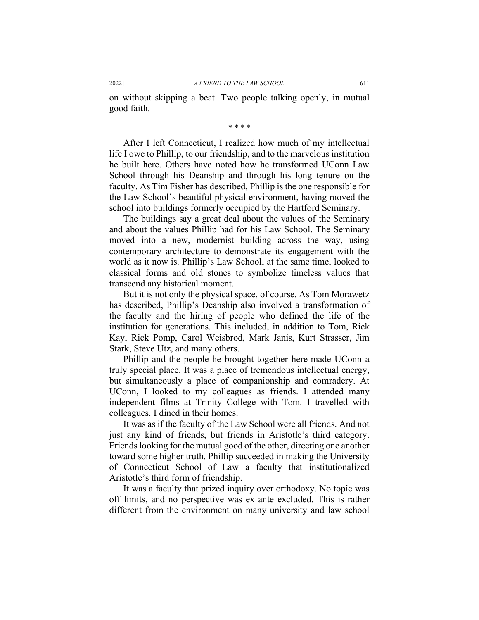on without skipping a beat. Two people talking openly, in mutual good faith.

\* \* \* \*

After I left Connecticut, I realized how much of my intellectual life I owe to Phillip, to our friendship, and to the marvelous institution he built here. Others have noted how he transformed UConn Law School through his Deanship and through his long tenure on the faculty. As Tim Fisher has described, Phillip is the one responsible for the Law School's beautiful physical environment, having moved the school into buildings formerly occupied by the Hartford Seminary.

The buildings say a great deal about the values of the Seminary and about the values Phillip had for his Law School. The Seminary moved into a new, modernist building across the way, using contemporary architecture to demonstrate its engagement with the world as it now is. Phillip's Law School, at the same time, looked to classical forms and old stones to symbolize timeless values that transcend any historical moment.

But it is not only the physical space, of course. As Tom Morawetz has described, Phillip's Deanship also involved a transformation of the faculty and the hiring of people who defined the life of the institution for generations. This included, in addition to Tom, Rick Kay, Rick Pomp, Carol Weisbrod, Mark Janis, Kurt Strasser, Jim Stark, Steve Utz, and many others.

Phillip and the people he brought together here made UConn a truly special place. It was a place of tremendous intellectual energy, but simultaneously a place of companionship and comradery. At UConn, I looked to my colleagues as friends. I attended many independent films at Trinity College with Tom. I travelled with colleagues. I dined in their homes.

It was as if the faculty of the Law School were all friends. And not just any kind of friends, but friends in Aristotle's third category. Friends looking for the mutual good of the other, directing one another toward some higher truth. Phillip succeeded in making the University of Connecticut School of Law a faculty that institutionalized Aristotle's third form of friendship.

It was a faculty that prized inquiry over orthodoxy. No topic was off limits, and no perspective was ex ante excluded. This is rather different from the environment on many university and law school